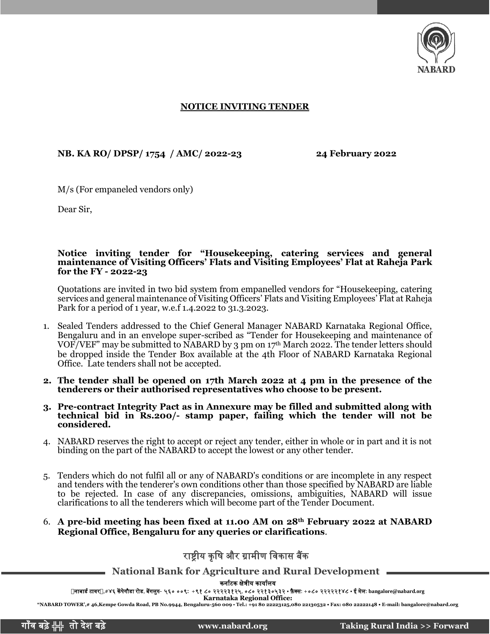

## **NOTICE INVITING TENDER**

## **NB. KA RO/ DPSP/ 1754 / AMC/ 2022-23 24 February 2022**

M/s (For empaneled vendors only)

Dear Sir,

## **Notice inviting tender for "Housekeeping, catering services and general maintenance of Visiting Officers' Flats and Visiting Employees' Flat at Raheja Park for the FY - 2022-23**

Quotations are invited in two bid system from empanelled vendors for "Housekeeping, catering services and general maintenance of Visiting Officers' Flats and Visiting Employees' Flat at Raheja Park for a period of 1 year, w.e.f 1.4.2022 to 31.3.2023.

- 1. Sealed Tenders addressed to the Chief General Manager NABARD Karnataka Regional Office, Bengaluru and in an envelope super-scribed as "Tender for Housekeeping and maintenance of VOF/VEF" may be submitted to NABARD by 3 pm on 17th March 2022. The tender letters should be dropped inside the Tender Box available at the 4th Floor of NABARD Karnataka Regional Office. Late tenders shall not be accepted.
- **2. The tender shall be opened on 17th March 2022 at 4 pm in the presence of the tenderers or their authorised representatives who choose to be present.**
- **3. Pre-contract Integrity Pact as in Annexure may be filled and submitted along with technical bid in Rs.200/- stamp paper, failing which the tender will not be considered.**
- 4. NABARD reserves the right to accept or reject any tender, either in whole or in part and it is not binding on the part of the NABARD to accept the lowest or any other tender.
- 5. Tenders which do not fulfil all or any of NABARD's conditions or are incomplete in any respect and tenders with the tenderer's own conditions other than those specified by NABARD are liable to be rejected. In case of any discrepancies, omissions, ambiguities, NABARD will issue clarifications to all the tenderers which will become part of the Tender Document.
- 6. **A pre-bid meeting has been fixed at 11.00 AM on 28th February 2022 at NABARD Regional Office, Bengaluru for any queries or clarifications**.

## राष्ट्रीय कृषि और ग्रामीण विकास बैंक

**National Bank for Agriculture and Rural Development**

कर्ााटक क्षेत्रीय कायाालय

र्ाबार्ा टािर,#४६ केंपेगौर्ा रोर्, बेंगलुरु- ५६० ००९**:** <sup>+</sup>९१ ८० २२२२३१२५, ०८० २२१३०५३२ • फ़ै क्स: +०८० २२२२२१४८ • <sup>ई</sup> मेल: **[bangalore@nabard.org](mailto:bangalore@nabard.org)**

**Karnataka Regional Office: "NABARD TOWER',# 46,Kempe Gowda Road, PB No.9944, Bengaluru-560 009** • **Tel.: +91 80 22223125,080 22130532 • Fax: 080 22222148 • E-mail: bangalore@nabard.org**